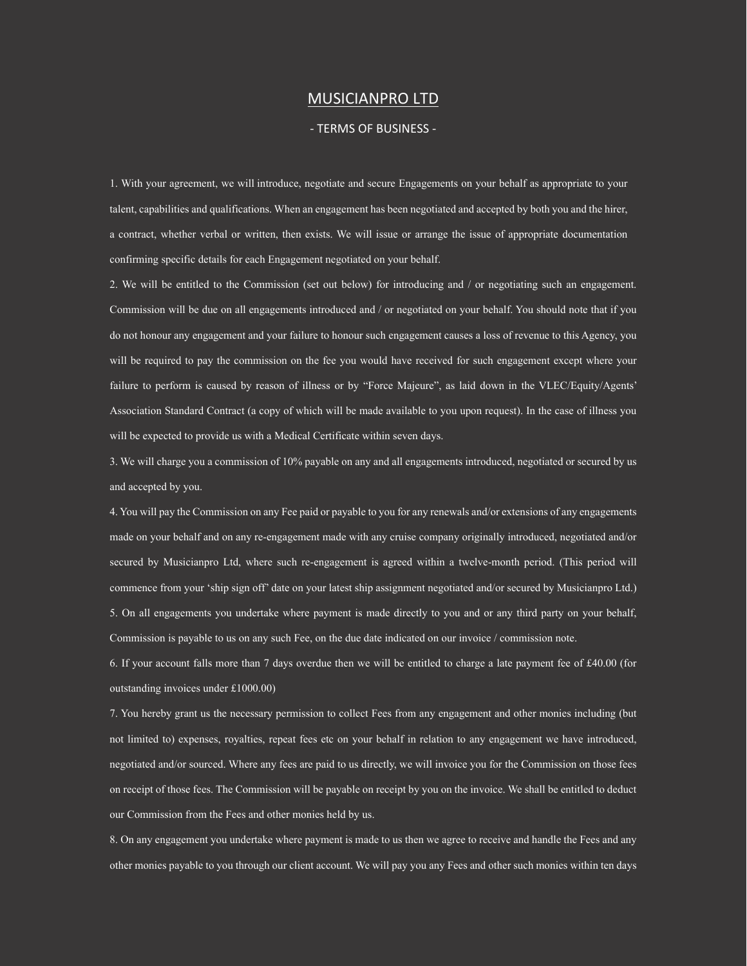## MUSICIANPRO LTD

## - TERMS OF BUSINESS -

1. With your agreement, we will introduce, negotiate and secure Engagements on your behalf as appropriate to your talent, capabilities and qualifications. When an engagement has been negotiated and accepted by both you and the hirer, a contract, whether verbal or written, then exists. We will issue or arrange the issue of appropriate documentation confirming specific details for each Engagement negotiated on your behalf.

2. We will be entitled to the Commission (set out below) for introducing and / or negotiating such an engagement. Commission will be due on all engagements introduced and / or negotiated on your behalf. You should note that if you do not honour any engagement and your failure to honour such engagement causes a loss of revenue to this Agency, you will be required to pay the commission on the fee you would have received for such engagement except where your failure to perform is caused by reason of illness or by "Force Majeure", as laid down in the VLEC/Equity/Agents' Association Standard Contract (a copy of which will be made available to you upon request). In the case of illness you will be expected to provide us with a Medical Certificate within seven days.

3. We will charge you a commission of 10% payable on any and all engagements introduced, negotiated or secured by us and accepted by you.

4. You will pay the Commission on any Fee paid or payable to you for any renewals and/or extensions of any engagements made on your behalf and on any re-engagement made with any cruise company originally introduced, negotiated and/or secured by Musicianpro Ltd, where such re-engagement is agreed within a twelve-month period. (This period will commence from your 'ship sign off' date on your latest ship assignment negotiated and/or secured by Musicianpro Ltd.) 5. On all engagements you undertake where payment is made directly to you and or any third party on your behalf, Commission is payable to us on any such Fee, on the due date indicated on our invoice / commission note.

6. If your account falls more than 7 days overdue then we will be entitled to charge a late payment fee of £40.00 (for outstanding invoices under £1000.00)

7. You hereby grant us the necessary permission to collect Fees from any engagement and other monies including (but not limited to) expenses, royalties, repeat fees etc on your behalf in relation to any engagement we have introduced, negotiated and/or sourced. Where any fees are paid to us directly, we will invoice you for the Commission on those fees on receipt of those fees. The Commission will be payable on receipt by you on the invoice. We shall be entitled to deduct our Commission from the Fees and other monies held by us.

8. On any engagement you undertake where payment is made to us then we agree to receive and handle the Fees and any other monies payable to you through our client account. We will pay you any Fees and other such monies within ten days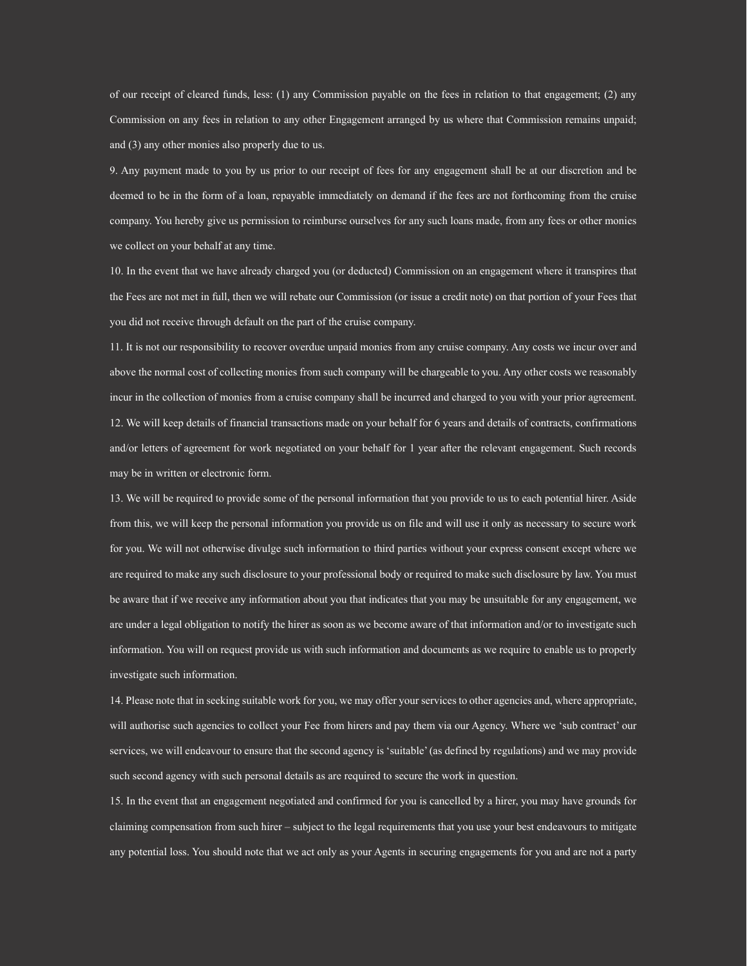of our receipt of cleared funds, less: (1) any Commission payable on the fees in relation to that engagement; (2) any Commission on any fees in relation to any other Engagement arranged by us where that Commission remains unpaid; and (3) any other monies also properly due to us.

9. Any payment made to you by us prior to our receipt of fees for any engagement shall be at our discretion and be deemed to be in the form of a loan, repayable immediately on demand if the fees are not forthcoming from the cruise company. You hereby give us permission to reimburse ourselves for any such loans made, from any fees or other monies we collect on your behalf at any time.

10. In the event that we have already charged you (or deducted) Commission on an engagement where it transpires that the Fees are not met in full, then we will rebate our Commission (or issue a credit note) on that portion of your Fees that you did not receive through default on the part of the cruise company.

11. It is not our responsibility to recover overdue unpaid monies from any cruise company. Any costs we incur over and above the normal cost of collecting monies from such company will be chargeable to you. Any other costs we reasonably incur in the collection of monies from a cruise company shall be incurred and charged to you with your prior agreement. 12. We will keep details of financial transactions made on your behalf for 6 years and details of contracts, confirmations and/or letters of agreement for work negotiated on your behalf for 1 year after the relevant engagement. Such records may be in written or electronic form.

13. We will be required to provide some of the personal information that you provide to us to each potential hirer. Aside from this, we will keep the personal information you provide us on file and will use it only as necessary to secure work for you. We will not otherwise divulge such information to third parties without your express consent except where we are required to make any such disclosure to your professional body or required to make such disclosure by law. You must be aware that if we receive any information about you that indicates that you may be unsuitable for any engagement, we are under a legal obligation to notify the hirer as soon as we become aware of that information and/or to investigate such information. You will on request provide us with such information and documents as we require to enable us to properly investigate such information.

14. Please note that in seeking suitable work for you, we may offer your services to other agencies and, where appropriate, will authorise such agencies to collect your Fee from hirers and pay them via our Agency. Where we 'sub contract' our services, we will endeavour to ensure that the second agency is 'suitable' (as defined by regulations) and we may provide such second agency with such personal details as are required to secure the work in question.

15. In the event that an engagement negotiated and confirmed for you is cancelled by a hirer, you may have grounds for claiming compensation from such hirer – subject to the legal requirements that you use your best endeavours to mitigate any potential loss. You should note that we act only as your Agents in securing engagements for you and are not a party